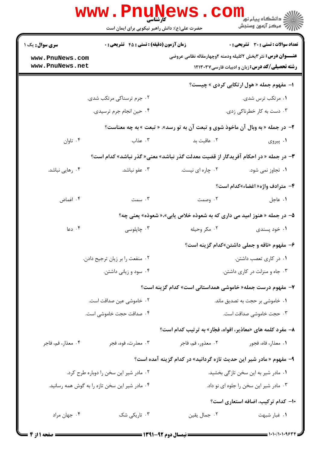|                                                                                          | <b>WWW.PNUP</b><br>کارشناسی<br>حضرت علی(ع): دانش راهبر نیکویی برای ایمان است   |                                                                               | ڪ دانشڪاه پيا <sub>م</sub> نور<br><mark>√</mark> مرڪز آزمون وسنڊش  |  |  |  |
|------------------------------------------------------------------------------------------|--------------------------------------------------------------------------------|-------------------------------------------------------------------------------|--------------------------------------------------------------------|--|--|--|
| <b>سری سوال :</b> یک ۱                                                                   | <b>زمان آزمون (دقیقه) : تستی : 45 قشریحی : 0</b>                               |                                                                               | <b>تعداد سوالات : تستی : 30 ٪ تشریحی : 0</b>                       |  |  |  |
| www.PnuNews.com                                                                          |                                                                                |                                                                               | <b>عنـــوان درس:</b> نثر ۳بخش ۲کلیله ودمنه ۲وچهارمقاله نظامی عروضی |  |  |  |
| www.PnuNews.net                                                                          |                                                                                |                                                                               | <b>رشته تحصیلی/کد درس:</b> زبان و ادبیات فارسی۱۲۱۳۰۳۷              |  |  |  |
|                                                                                          |                                                                                |                                                                               | ا- مفهوم جمله « هول ارتکابی کردی » چیست؟                           |  |  |  |
| ۰۲ جرم ترسناکی مرتکب شدی.                                                                |                                                                                | ۰۱ مرتکب ترس شدی.                                                             |                                                                    |  |  |  |
|                                                                                          | ۰۴ حین انجام جرم ترسیدی.                                                       | ۰۳ دست به کار خطرناکی زدی.                                                    |                                                                    |  |  |  |
|                                                                                          | ۲- در جمله « به وبال آن ماخوذ شوی و تبعت آن به تو رسد». « تبعت » به چه معناست؟ |                                                                               |                                                                    |  |  |  |
| ۰۴ تاوان                                                                                 | ۰۳ عذاب                                                                        | ۰۲ عاقبت بد                                                                   | ۰۱ پیروی                                                           |  |  |  |
| ۳- در جمله « در احکام آفریدگار از قضیت معدلت گذر نباشد» معنی« گذر نباشد» کدام است؟       |                                                                                |                                                                               |                                                                    |  |  |  |
| ۰۴ رهایی نباشد.                                                                          | ۰۳ عفو نباشد.                                                                  | ۰۲ چاره ای نیست.                                                              | ۰۱ تجاوز نمی شود.                                                  |  |  |  |
|                                                                                          |                                                                                |                                                                               | ۴- مترادف واژه« اغضاء»كدام است؟                                    |  |  |  |
| ۰۴ اغماض                                                                                 | ۰۳ سمت                                                                         | ۰۲ وصمت                                                                       | ٠١. عاجل                                                           |  |  |  |
|                                                                                          |                                                                                | ۵– در جمله « هنوز امید می داری که به شعوذه خلاص یابی»،« شعوذه» یعنی چه؟       |                                                                    |  |  |  |
| ۰۴ دعا                                                                                   | ۰۳ چاپلوسی                                                                     | ۰۲ مکر وحیله                                                                  | ۰۱ خود پسندی                                                       |  |  |  |
|                                                                                          |                                                                                |                                                                               | ۶- مفهوم «ناقه و جملی داشتن»کدام گزینه است؟                        |  |  |  |
|                                                                                          | ٠٢ منفعت را بر زيان ترجيح دادن.                                                | ٠١ در كارى تعصب داشتن.                                                        |                                                                    |  |  |  |
| ۰۴ سود و زیانی داشتن.                                                                    |                                                                                | ۰۳ جاه و منزلت در کاری داشتن.                                                 |                                                                    |  |  |  |
|                                                                                          |                                                                                |                                                                               | ۷– مفهوم درست جمله« خاموشی همداستانی است» کدام گزینه است؟          |  |  |  |
| ٠٢ خاموشي عين صداقت است.                                                                 |                                                                                | ۰۱ خاموشی بر حجت به تصدیق ماند.                                               |                                                                    |  |  |  |
|                                                                                          | ۴. صداقت حجت خاموشی است.                                                       | ۰۳ حجت خاموشی صداقت است.                                                      |                                                                    |  |  |  |
|                                                                                          |                                                                                |                                                                               | ۸– مفرد کلمه های «معاذیر، افواه، فجّار» به ترتیب کدام است؟         |  |  |  |
| ۰۴ معذار، فم، فاجر                                                                       | ۰۳ معذرت، فوه، فجر                                                             | ۰۲ معذور، فم، فاجر                                                            | ٠١ معذار، فاه، فجور                                                |  |  |  |
|                                                                                          |                                                                                | ۹– مفهوم « مادر شیر این حدیث تازه گردانید» در کدام گزینه آمده است؟            |                                                                    |  |  |  |
|                                                                                          |                                                                                |                                                                               |                                                                    |  |  |  |
| ۰۲ مادر شیر این سخن را دوباره طرح کرد.<br>۰۴ مادر شیر این سخن تازه را به گوش همه رسانید. |                                                                                | ۰۱ مادر شیر به این سخن تازگی بخشید.<br>۰۳ مادر شیر این سخن را جلوه ای نو داد. |                                                                    |  |  |  |
|                                                                                          |                                                                                |                                                                               |                                                                    |  |  |  |
| ۰۴ جهان مراد                                                                             | ۰۳ تاریکی شک                                                                   | ۰۲ جمال يقين                                                                  | ۱۰– کدام ترکیب، اضافه استعاری است؟<br>۰۱ غبار شبهت                 |  |  |  |
|                                                                                          |                                                                                |                                                                               |                                                                    |  |  |  |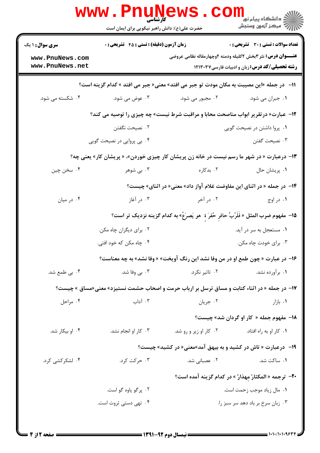| تعداد سوالات : تستى : 30 - تشريحي : 0                                                                                        |                        | <b>زمان آزمون (دقیقه) : تستی : 45 گشریحی : 0</b> | <b>سری سوال : ۱ یک</b>             |
|------------------------------------------------------------------------------------------------------------------------------|------------------------|--------------------------------------------------|------------------------------------|
| <b>عنــــوان درس:</b> نثر۳بخش ۲کلیله ودمنه ۲وچهارمقاله نظامی عروضی<br><b>رشته تحصیلی/کد درس:</b> زبان و ادبیات فارسی ۱۲۱۳۰۳۷ |                        |                                                  | www.PnuNews.com<br>www.PnuNews.net |
| 11−   در جمله «این مصیبت به مکان مودت تو جبر می افتد» معنی« جبر می افتد » کدام گزینه است؟                                    |                        |                                                  |                                    |
| ۰۱ جبران می شود.                                                                                                             | ۰۲ مجبور می شود.       | ۰۳ عوض می شود.                                   | ۰۴ شکسته می شود.                   |
| <b>۱۲</b> - عبارت« درتقریر ابواب مناصحت محابا و مراقبت شرط نیست» چه چیزی را توصیه می کند؟                                    |                        |                                                  |                                    |
| ۰۱ پروا داشتن در نصیحت گویی                                                                                                  |                        | ۰۲ نصیحت نگفتن                                   |                                    |
| ۰۳ نصیحت گفتن                                                                                                                |                        | ۰۴ بی پروایی در نصیحت گویی                       |                                    |
| ۱۳- درعبارت « در شهر ما رسم نیست در خانه زن پریشان کار چیزی خوردن»، « پریشان کار» یعنی چه؟                                   |                        |                                                  |                                    |
| ٠١. پريشان حال                                                                                                               | ۰۲ بدکاره              | ۰۳ بی شوهر                                       | ۰۴ سخن چين                         |
| ۱۴- در جمله « در اثنای این مفاوضت غلام آواز داد» معنی« در اثنای» چیست؟                                                       |                        |                                                  |                                    |
| ۰۱ در اوج                                                                                                                    | ۰۲ در آخر              | ۰۳ در آغاز                                       | ۰۴ در میان                         |
| 1۵−  مفهوم ضرب المثل « فَلَرُبَّ حافر حُفرَ ة  هو  يَصرَعُ» به كدام گزينه نزديک تر است؟                                      |                        |                                                  |                                    |
| ۰۱ مستعجل به سر در آید.                                                                                                      |                        | ۰۲ برای دیگران چاه مکن.                          |                                    |
| ۰۳ برای خودت چاه مکن.                                                                                                        |                        | ۰۴ چاه مکن که خود افتی.                          |                                    |
| ۱۶- در عبارت « چون طمع او در من وفا نشد این رنگ آویخت» « وفا نشد» به چه معناست؟                                              |                        |                                                  |                                    |
| ۰۱ برآورده نشد.                                                                                                              | ۰۲ تاثیر نکرد.         | ۰۳ بی وفا شد.                                    | ۰۴ بی طمع شد.                      |
| <b>۱۷</b> - در جمله « در اثناء کتابت و مساق ترسل بر ارباب حرمت و اصحاب حشمت نستیزد» معنی«مساق » چیست؟                        |                        |                                                  |                                    |
| ۰۱ بازار                                                                                                                     | ۰۲ جريان               | ۰۳ آداب                                          | ۰۴ مراحل                           |
| 18- مفهوم جمله « کار او گردان شد» چیست؟                                                                                      |                        |                                                  |                                    |
| ۰۱ كار او به راه افتاد.                                                                                                      | ۰۲ کار او زیر و رو شد. | ۰۳ کار او انجام نشد.                             | ۰۴ او بیکار شد.                    |
| ۱۹- درعبارت « تاش در کشید و به بیهق آمد»معنی« در کشید» چیست؟                                                                 |                        |                                                  |                                    |
| ۰۱ ساکت شد.                                                                                                                  | ۲.  عصبانی شد.         | ۰۳ حرکت کرد.                                     | ۰۴ لشکرکشی کرد.                    |
| <b>۲۰</b> - ترجمه « المكثارُ مهذارٌ » در كدام گزینه آمده است؟                                                                |                        |                                                  |                                    |
| ۰۱ مال زياد موجب زحمت است.                                                                                                   |                        | ۰۲ پرگو یاوه گو است.                             |                                    |
| ۰۳ زبان سرخ بر باد دهد سر سبز را.                                                                                            |                        | ۰۴ تهی دستی ثروت است.                            |                                    |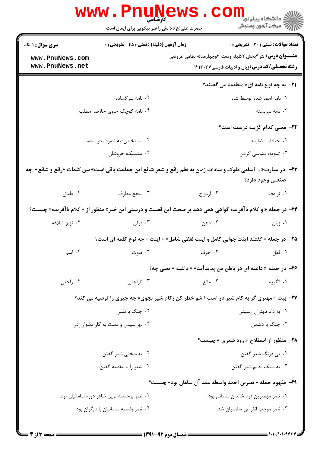| <b>WWW</b>                                                                                                                      | <b>ETAUNE</b><br><b>کار شناسی</b><br>حضرت علی(ع): دانش راهبر نیکویی برای ایمان است               |                                                                                                                             | ر دانشڪاه پيام نور <mark>−</mark><br>ا∛ مرکز آزمون وسنجش |  |  |
|---------------------------------------------------------------------------------------------------------------------------------|--------------------------------------------------------------------------------------------------|-----------------------------------------------------------------------------------------------------------------------------|----------------------------------------------------------|--|--|
| <b>سری سوال : ۱ یک</b>                                                                                                          | <b>زمان آزمون (دقیقه) : تستی : 45 تشریحی : 0</b>                                                 |                                                                                                                             | <b>تعداد سوالات : تستی : 30 ٪ تشریحی : 0</b>             |  |  |
| www.PnuNews.com<br>www.PnuNews.net                                                                                              |                                                                                                  | <b>عنــــوان درس:</b> نثر۳بخش ۲کلیله ودمنه ۲وچهارمقاله نظامی عروضی<br><b>رشته تحصیلی/کد درس:</b> زبان و ادبیات فارسی۱۲۱۳۰۳۷ |                                                          |  |  |
|                                                                                                                                 |                                                                                                  |                                                                                                                             | <b>۲۱</b> - به چه نوع نامه ای« ملطفه» می گفتند؟          |  |  |
|                                                                                                                                 | ۰۲ نامه سرگشاده                                                                                  | ۰۱ نامه امضا شده توسط شاه                                                                                                   |                                                          |  |  |
| ۰۴ نامه کوچک حاوی خلاصه مطلب                                                                                                    |                                                                                                  | ۰۳ نامه سربسته                                                                                                              |                                                          |  |  |
|                                                                                                                                 |                                                                                                  |                                                                                                                             | <b>۲۲</b> - معنی کدام گزینه درست است؟                    |  |  |
| ۲. مستخلص: به تصرف در آمده                                                                                                      |                                                                                                  | ١. حياطت: ضايعه                                                                                                             |                                                          |  |  |
|                                                                                                                                 | ۰۴ متنسّک: خروشان                                                                                |                                                                                                                             | ۰۳ تمویه: دشمنی کردن                                     |  |  |
| ۲۳− در عبارت« اسامی ملوک و سادات زمان به نظم رائع و شعر شائع این جماعت باقی است» بین کلمات «رائع و شائع» چه<br>صنعتى وجود دارد؟ |                                                                                                  |                                                                                                                             |                                                          |  |  |
| ۰۴ طباق                                                                                                                         | ۰۳ سجع مطرف                                                                                      | ۰۲ ازدواج                                                                                                                   | ۰۱ ترادف                                                 |  |  |
| <b>۲۴</b> – در جمله « و کلام ناآفریده گواهی همی دهد بر صحت این قضیت و درستی این خبر» منظور از « کلام ناآفریده» چیست؟            |                                                                                                  |                                                                                                                             |                                                          |  |  |
| ۰۴ نهج البلاغه                                                                                                                  | ۰۳ قرآن                                                                                          | ۰۲ ذهن                                                                                                                      | ۰۱ زبان                                                  |  |  |
|                                                                                                                                 | 25- در جمله « گفتند اینت جوابی کامل و اینت لفظی شامل» « اینت » چه نوع کلمه ای است؟               |                                                                                                                             |                                                          |  |  |
| ۰۴ اسم                                                                                                                          | ۲. حرف موت به است است به این موت                                                                 |                                                                                                                             | ۰۱ فعل                                                   |  |  |
|                                                                                                                                 |                                                                                                  | ۲۶- در جمله « داعیه ای در باطن من پدیدآمد» « داعیه » یعنی چه؟                                                               |                                                          |  |  |
| ۰۴ راحتی                                                                                                                        | ۰۳ ناراحتی                                                                                       | ۰۲ مانع                                                                                                                     | ۰۱ انگیزه                                                |  |  |
|                                                                                                                                 | <b>۲۷</b> - بیت « مهتری گر به کام شیر در است / شو خطر کن زکام شیر بجوی» چه چیزی را توصیه می کند؟ |                                                                                                                             |                                                          |  |  |
|                                                                                                                                 | ۰۲ جنگ با نفس                                                                                    | ۰۱ به داد مهتران رسیدن                                                                                                      |                                                          |  |  |
| ۰۴ نهراسیدن و دست به کار دشوار زدن                                                                                              |                                                                                                  | ۰۳ جنگ با دشمن                                                                                                              |                                                          |  |  |
|                                                                                                                                 |                                                                                                  |                                                                                                                             | <b>۲۸- منظور از اصطلاح « زود شعری » چیست؟</b>            |  |  |
| ۰۲ به سختی شعر گفتن.                                                                                                            |                                                                                                  | ۰۱ بي درنگ شعر گفتن.                                                                                                        |                                                          |  |  |
|                                                                                                                                 | ۰۴ شعر را با مقدمه گفتن.                                                                         | ۰۳ به سبک قدیم شعر گفتن.                                                                                                    |                                                          |  |  |
| 29- مفهوم جمله « نصربن احمد واسطه عقد آل سامان بود» چیست؟                                                                       |                                                                                                  |                                                                                                                             |                                                          |  |  |
|                                                                                                                                 | ۰۲ نصر برجسته ترین شاعر دوره سامانیان بود.                                                       | ۰۱ نصر مهمترین فرد خاندان سامانی بود.                                                                                       |                                                          |  |  |
|                                                                                                                                 | ۰۴ نصر واسطه سامانیان با دیگران بود.                                                             |                                                                                                                             | ٠٣ نصر موجب انقراض سامانيان شد.                          |  |  |
|                                                                                                                                 |                                                                                                  |                                                                                                                             |                                                          |  |  |